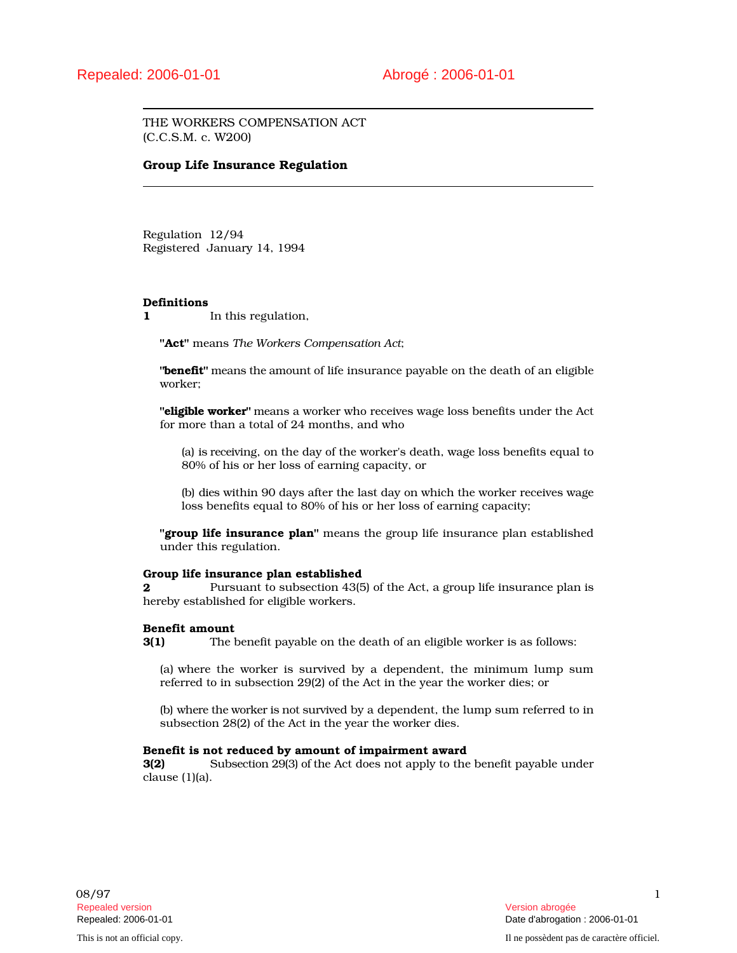THE WORKERS COMPENSATION ACT (C.C.S.M. c. W200)

## Group Life Insurance Regulation

Regulation 12/94 Registered January 14, 1994

## Definitions

1 In this regulation,

"Act" means *The Workers Compensation Act*;

"benefit" means the amount of life insurance payable on the death of an eligible worker;

"eligible worker" means a worker who receives wage loss benefits under the Act for more than a total of 24 months, and who

(a) is receiving, on the day of the worker's death, wage loss benefits equal to 80% of his or her loss of earning capacity, or

(b) dies within 90 days after the last day on which the worker receives wage loss benefits equal to 80% of his or her loss of earning capacity;

"group life insurance plan" means the group life insurance plan established under this regulation.

#### Group life insurance plan established

**2** Pursuant to subsection 43(5) of the Act, a group life insurance plan is hereby established for eligible workers.

### Benefit amount

3(1) The benefit payable on the death of an eligible worker is as follows:

(a) where the worker is survived by a dependent, the minimum lump sum referred to in subsection 29(2) of the Act in the year the worker dies; or

(b) where the worker is not survived by a dependent, the lump sum referred to in subsection 28(2) of the Act in the year the worker dies.

#### Benefit is not reduced by amount of impairment award

3(2) Subsection 29(3) of the Act does not apply to the benefit payable under clause (1)(a).